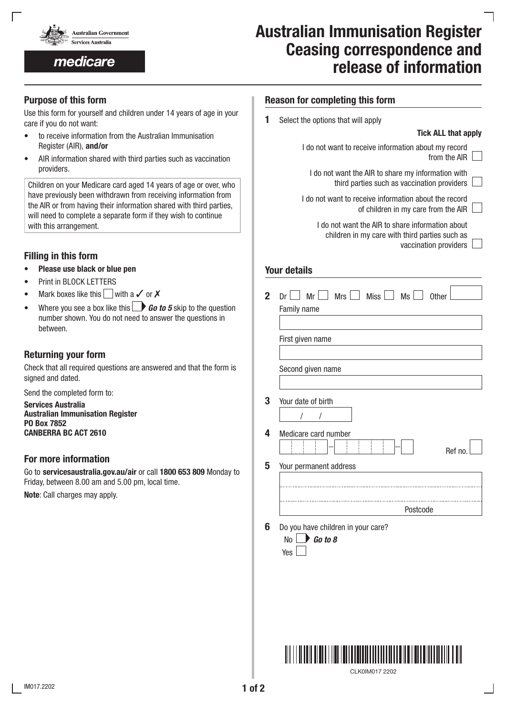

medicare

# Australian Immunisation Register Ceasing correspondence and release of information

# Purpose of this form

Use this form for yourself and children under 14 years of age in your care if you do not want:

- to receive information from the Australian Immunisation Register (AIR), and/or
- AIR information shared with third parties such as vaccination providers.

Children on your Medicare card aged 14 years of age or over, who have previously been withdrawn from receiving information from the AIR or from having their information shared with third parties, will need to complete a separate form if they wish to continue with this arrangement.

# Filling in this form

- Please use black or blue pen
- Print in BLOCK LETTERS
- Mark boxes like this with a  $\checkmark$  or  $\checkmark$
- Where you see a box like this **Go to 5** skip to the question number shown. You do not need to answer the questions in between.

## Returning your form

Check that all required questions are answered and that the form is signed and dated.

Send the completed form to:

Services Australia Australian Immunisation Register PO Box 7852 CANBERRA BC ACT 2610

#### For more information

Go to servicesaustralia.gov.au/air or call 1800 653 809 Monday to Friday, between 8.00 am and 5.00 pm, local time.

Note: Call charges may apply.

| <b>Reason for completing this form</b> |  |  |  |  |  |
|----------------------------------------|--|--|--|--|--|
|----------------------------------------|--|--|--|--|--|

1 Select the options that will apply

### Tick ALL that apply

vaccination providers

| I do not want to receive information about my record<br>from the AIR                               |
|----------------------------------------------------------------------------------------------------|
| I do not want the AIR to share my information with<br>third parties such as vaccination providers  |
| I do not want to receive information about the record<br>of children in my care from the AIR       |
| I do not want the AIR to share information about<br>children in my care with third parties such as |

#### Your details

| First given name     |                        |          |        |
|----------------------|------------------------|----------|--------|
| Second given name    |                        |          |        |
| Your date of birth   |                        |          |        |
|                      |                        |          |        |
| Medicare card number |                        |          | Ref no |
|                      | Your permanent address |          |        |
|                      |                        |          |        |
|                      |                        | Postcode |        |



CLK0IM017 2202